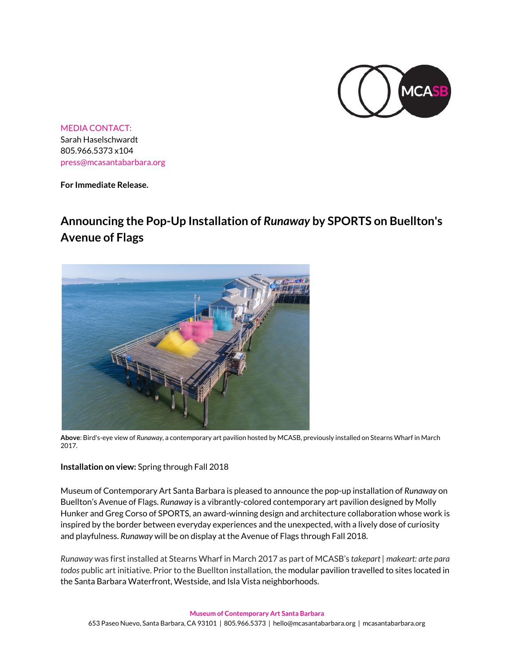

MEDIA CONTACT: Sarah Haselschwardt 805.966.5373 x104 [press@mcasantabarbara.org](mailto:press@mcasantabarbara.org)

**For Immediate Release.**

## **Announcing the Pop-Up Installation of** *Runaway* **by SPORTS on Buellton's Avenue of Flags**



**Above**: Bird's-eye view of *Runaway*, a contemporary art pavilion hosted by MCASB, previously installed on Stearns Wharf in March 2017.

**Installation on view:** Spring through Fall 2018

Museum of Contemporary Art Santa Barbara is pleased to announce the pop-up installation of *Runaway* on Buellton's Avenue of Flags. *Runaway* is a vibrantly-colored contemporary art pavilion designed by Molly Hunker and Greg Corso of SPORTS, an award-winning design and architecture collaboration whose work is inspired by the border between everyday experiences and the unexpected, with a lively dose of curiosity and playfulness. *Runaway* will be on display at the Avenue of Flags through Fall 2018.

*Runaway* was first installed at Stearns Wharf in March 2017 as part of MCASB's *takepart | makeart: arte para todos* public art initiative. Prior to the Buellton installation, the modular pavilion travelled to sites located in the Santa Barbara Waterfront, Westside, and Isla Vista neighborhoods.